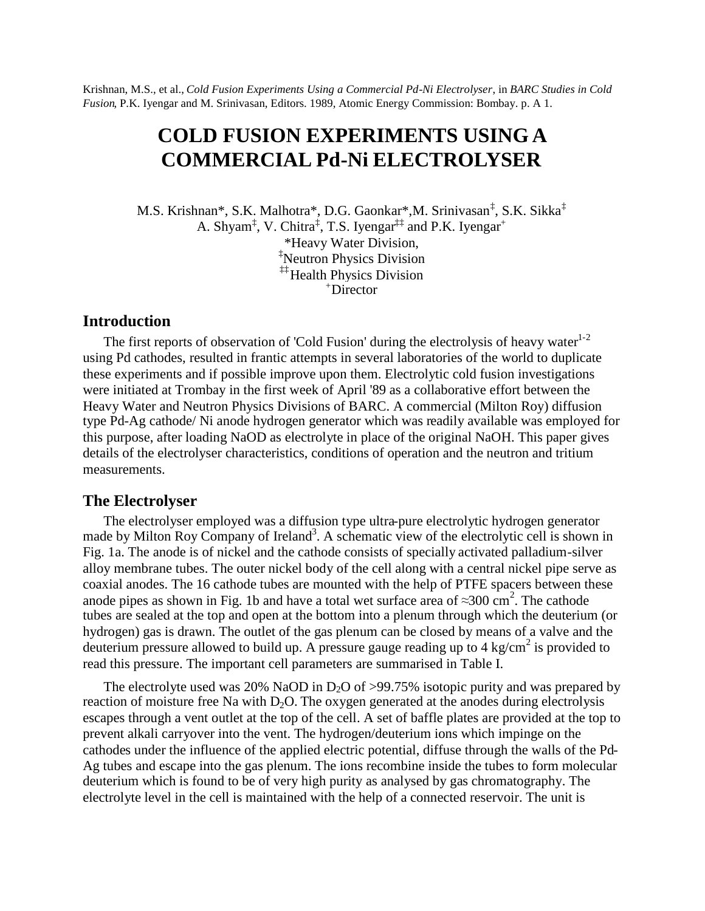Krishnan, M.S., et al., *Cold Fusion Experiments Using a Commercial Pd-Ni Electrolyser*, in *BARC Studies in Cold Fusion*, P.K. Iyengar and M. Srinivasan, Editors. 1989, Atomic Energy Commission: Bombay. p. A 1.

# **COLD FUSION EXPERIMENTS USING A COMMERCIAL Pd-Ni ELECTROLYSER**

M.S. Krishnan\*, S.K. Malhotra\*, D.G. Gaonkar\*,M. Srinivasan‡ , S.K. Sikka‡ A. Shyam<sup>‡</sup>, V. Chitra<sup>‡</sup>, T.S. Iyengar<sup>‡‡</sup> and P.K. Iyengar<sup>+</sup> \*Heavy Water Division, ‡Neutron Physics Division ‡‡Health Physics Division <sup>+</sup>Director

### **Introduction**

The first reports of observation of 'Cold Fusion' during the electrolysis of heavy water $1-2$ using Pd cathodes, resulted in frantic attempts in several laboratories of the world to duplicate these experiments and if possible improve upon them. Electrolytic cold fusion investigations were initiated at Trombay in the first week of April '89 as a collaborative effort between the Heavy Water and Neutron Physics Divisions of BARC. A commercial (Milton Roy) diffusion type Pd-Ag cathode/ Ni anode hydrogen generator which was readily available was employed for this purpose, after loading NaOD as electrolyte in place of the original NaOH. This paper gives details of the electrolyser characteristics, conditions of operation and the neutron and tritium measurements.

### **The Electrolyser**

The electrolyser employed was a diffusion type ultra-pure electrolytic hydrogen generator made by Milton Roy Company of Ireland<sup>3</sup>. A schematic view of the electrolytic cell is shown in Fig. 1a. The anode is of nickel and the cathode consists of specially activated palladium-silver alloy membrane tubes. The outer nickel body of the cell along with a central nickel pipe serve as coaxial anodes. The 16 cathode tubes are mounted with the help of PTFE spacers between these anode pipes as shown in Fig. 1b and have a total wet surface area of  $\approx 300 \text{ cm}^2$ . The cathode tubes are sealed at the top and open at the bottom into a plenum through which the deuterium (or hydrogen) gas is drawn. The outlet of the gas plenum can be closed by means of a valve and the deuterium pressure allowed to build up. A pressure gauge reading up to 4 kg/cm<sup>2</sup> is provided to read this pressure. The important cell parameters are summarised in Table I.

The electrolyte used was 20% NaOD in D<sub>2</sub>O of >99.75% isotopic purity and was prepared by reaction of moisture free Na with  $D_2O$ . The oxygen generated at the anodes during electrolysis escapes through a vent outlet at the top of the cell. A set of baffle plates are provided at the top to prevent alkali carryover into the vent. The hydrogen/deuterium ions which impinge on the cathodes under the influence of the applied electric potential, diffuse through the walls of the Pd-Ag tubes and escape into the gas plenum. The ions recombine inside the tubes to form molecular deuterium which is found to be of very high purity as analysed by gas chromatography. The electrolyte level in the cell is maintained with the help of a connected reservoir. The unit is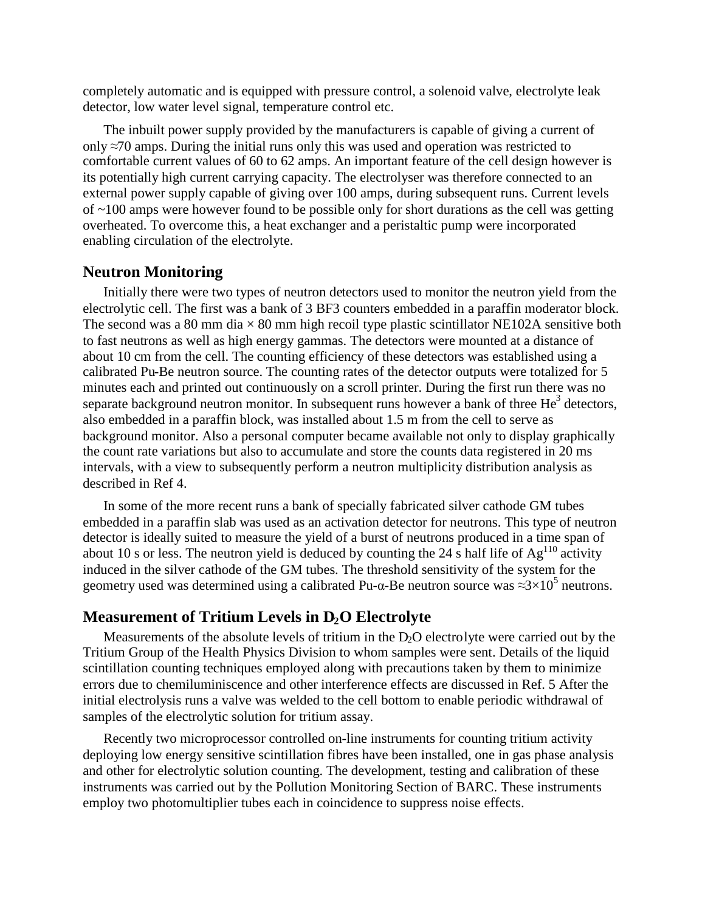completely automatic and is equipped with pressure control, a solenoid valve, electrolyte leak detector, low water level signal, temperature control etc.

The inbuilt power supply provided by the manufacturers is capable of giving a current of only ≈70 amps. During the initial runs only this was used and operation was restricted to comfortable current values of 60 to 62 amps. An important feature of the cell design however is its potentially high current carrying capacity. The electrolyser was therefore connected to an external power supply capable of giving over 100 amps, during subsequent runs. Current levels of ~100 amps were however found to be possible only for short durations as the cell was getting overheated. To overcome this, a heat exchanger and a peristaltic pump were incorporated enabling circulation of the electrolyte.

### **Neutron Monitoring**

Initially there were two types of neutron detectors used to monitor the neutron yield from the electrolytic cell. The first was a bank of 3 BF3 counters embedded in a paraffin moderator block. The second was a 80 mm dia  $\times$  80 mm high recoil type plastic scintillator NE102A sensitive both to fast neutrons as well as high energy gammas. The detectors were mounted at a distance of about 10 cm from the cell. The counting efficiency of these detectors was established using a calibrated Pu-Be neutron source. The counting rates of the detector outputs were totalized for 5 minutes each and printed out continuously on a scroll printer. During the first run there was no separate background neutron monitor. In subsequent runs however a bank of three  $\text{He}^3$  detectors, also embedded in a paraffin block, was installed about 1.5 m from the cell to serve as background monitor. Also a personal computer became available not only to display graphically the count rate variations but also to accumulate and store the counts data registered in 20 ms intervals, with a view to subsequently perform a neutron multiplicity distribution analysis as described in Ref 4.

In some of the more recent runs a bank of specially fabricated silver cathode GM tubes embedded in a paraffin slab was used as an activation detector for neutrons. This type of neutron detector is ideally suited to measure the yield of a burst of neutrons produced in a time span of about 10 s or less. The neutron yield is deduced by counting the 24 s half life of  $Ag^{110}$  activity induced in the silver cathode of the GM tubes. The threshold sensitivity of the system for the geometry used was determined using a calibrated Pu-α-Be neutron source was  $\approx 3 \times 10^5$  neutrons.

### **Measurement of Tritium Levels in D2O Electrolyte**

Measurements of the absolute levels of tritium in the D<sub>2</sub>O electrolyte were carried out by the Tritium Group of the Health Physics Division to whom samples were sent. Details of the liquid scintillation counting techniques employed along with precautions taken by them to minimize errors due to chemiluminiscence and other interference effects are discussed in Ref. 5 After the initial electrolysis runs a valve was welded to the cell bottom to enable periodic withdrawal of samples of the electrolytic solution for tritium assay.

Recently two microprocessor controlled on-line instruments for counting tritium activity deploying low energy sensitive scintillation fibres have been installed, one in gas phase analysis and other for electrolytic solution counting. The development, testing and calibration of these instruments was carried out by the Pollution Monitoring Section of BARC. These instruments employ two photomultiplier tubes each in coincidence to suppress noise effects.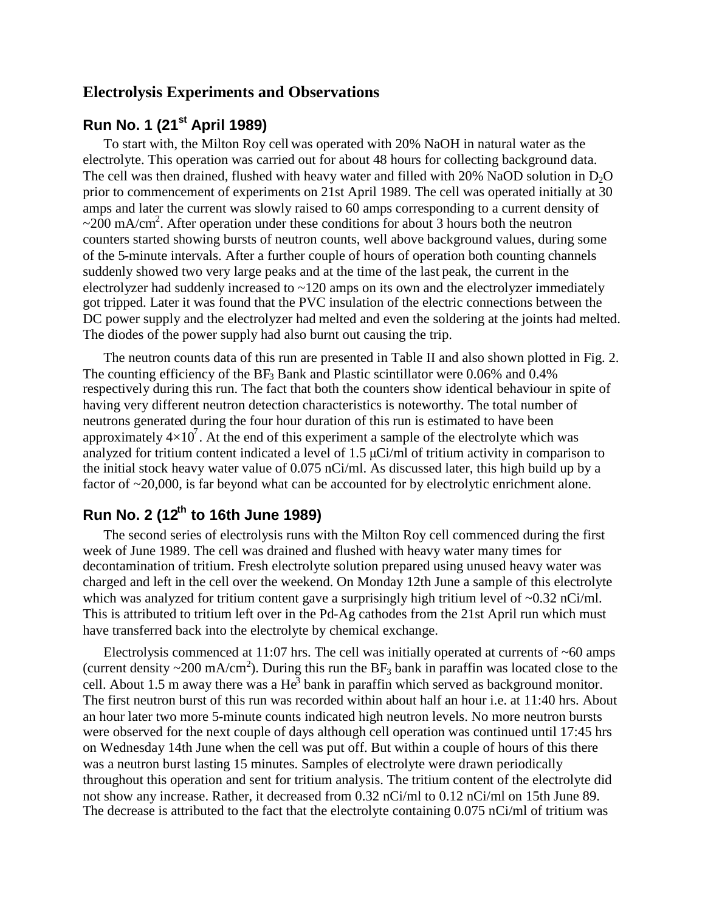### **Electrolysis Experiments and Observations**

# **Run No. 1 (21st April 1989)**

To start with, the Milton Roy cell was operated with 20% NaOH in natural water as the electrolyte. This operation was carried out for about 48 hours for collecting background data. The cell was then drained, flushed with heavy water and filled with 20% NaOD solution in  $D_2O$ prior to commencement of experiments on 21st April 1989. The cell was operated initially at 30 amps and later the current was slowly raised to 60 amps corresponding to a current density of  $\sim$ 200 mA/cm<sup>2</sup>. After operation under these conditions for about 3 hours both the neutron counters started showing bursts of neutron counts, well above background values, during some of the 5-minute intervals. After a further couple of hours of operation both counting channels suddenly showed two very large peaks and at the time of the last peak, the current in the electrolyzer had suddenly increased to  $\sim$  120 amps on its own and the electrolyzer immediately got tripped. Later it was found that the PVC insulation of the electric connections between the DC power supply and the electrolyzer had melted and even the soldering at the joints had melted. The diodes of the power supply had also burnt out causing the trip.

The neutron counts data of this run are presented in Table II and also shown plotted in Fig. 2. The counting efficiency of the BF<sub>3</sub> Bank and Plastic scintillator were 0.06% and 0.4% respectively during this run. The fact that both the counters show identical behaviour in spite of having very different neutron detection characteristics is noteworthy. The total number of neutrons generated during the four hour duration of this run is estimated to have been approximately  $4\times10^7$ . At the end of this experiment a sample of the electrolyte which was analyzed for tritium content indicated a level of 1.5 μCi/ml of tritium activity in comparison to the initial stock heavy water value of 0.075 nCi/ml. As discussed later, this high build up by a factor of ~20,000, is far beyond what can be accounted for by electrolytic enrichment alone.

# **Run No. 2 (12th to 16th June 1989)**

The second series of electrolysis runs with the Milton Roy cell commenced during the first week of June 1989. The cell was drained and flushed with heavy water many times for decontamination of tritium. Fresh electrolyte solution prepared using unused heavy water was charged and left in the cell over the weekend. On Monday 12th June a sample of this electrolyte which was analyzed for tritium content gave a surprisingly high tritium level of  $\sim 0.32$  nCi/ml. This is attributed to tritium left over in the Pd-Ag cathodes from the 21st April run which must have transferred back into the electrolyte by chemical exchange.

Electrolysis commenced at 11:07 hrs. The cell was initially operated at currents of  $\sim 60$  amps (current density  $\sim$ 200 mA/cm<sup>2</sup>). During this run the BF<sub>3</sub> bank in paraffin was located close to the cell. About 1.5 m away there was a  $He^{3}$  bank in paraffin which served as background monitor. The first neutron burst of this run was recorded within about half an hour i.e. at 11:40 hrs. About an hour later two more 5-minute counts indicated high neutron levels. No more neutron bursts were observed for the next couple of days although cell operation was continued until 17:45 hrs on Wednesday 14th June when the cell was put off. But within a couple of hours of this there was a neutron burst lasting 15 minutes. Samples of electrolyte were drawn periodically throughout this operation and sent for tritium analysis. The tritium content of the electrolyte did not show any increase. Rather, it decreased from 0.32 nCi/ml to 0.12 nCi/ml on 15th June 89. The decrease is attributed to the fact that the electrolyte containing 0.075 nCi/ml of tritium was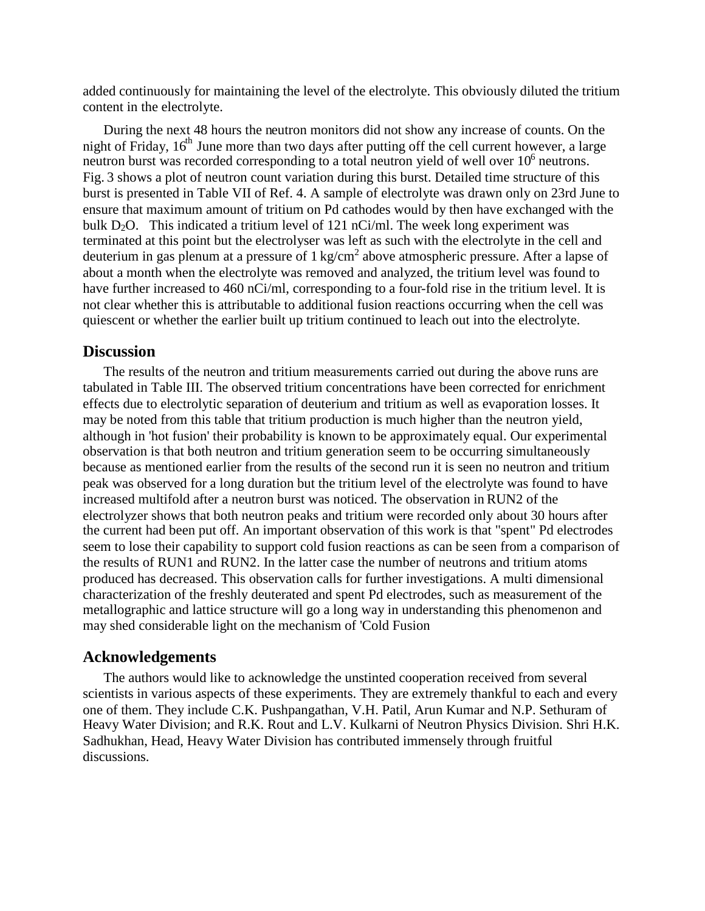added continuously for maintaining the level of the electrolyte. This obviously diluted the tritium content in the electrolyte.

During the next 48 hours the neutron monitors did not show any increase of counts. On the night of Friday,  $16<sup>th</sup>$  June more than two days after putting off the cell current however, a large neutron burst was recorded corresponding to a total neutron yield of well over 10<sup>6</sup> neutrons. Fig. 3 shows a plot of neutron count variation during this burst. Detailed time structure of this burst is presented in Table VII of Ref. 4. A sample of electrolyte was drawn only on 23rd June to ensure that maximum amount of tritium on Pd cathodes would by then have exchanged with the bulk  $D_2O$ . This indicated a tritium level of 121 nCi/ml. The week long experiment was terminated at this point but the electrolyser was left as such with the electrolyte in the cell and deuterium in gas plenum at a pressure of  $1 \text{ kg/cm}^2$  above atmospheric pressure. After a lapse of about a month when the electrolyte was removed and analyzed, the tritium level was found to have further increased to 460 nCi/ml, corresponding to a four-fold rise in the tritium level. It is not clear whether this is attributable to additional fusion reactions occurring when the cell was quiescent or whether the earlier built up tritium continued to leach out into the electrolyte.

### **Discussion**

The results of the neutron and tritium measurements carried out during the above runs are tabulated in Table III. The observed tritium concentrations have been corrected for enrichment effects due to electrolytic separation of deuterium and tritium as well as evaporation losses. It may be noted from this table that tritium production is much higher than the neutron yield, although in 'hot fusion' their probability is known to be approximately equal. Our experimental observation is that both neutron and tritium generation seem to be occurring simultaneously because as mentioned earlier from the results of the second run it is seen no neutron and tritium peak was observed for a long duration but the tritium level of the electrolyte was found to have increased multifold after a neutron burst was noticed. The observation in RUN2 of the electrolyzer shows that both neutron peaks and tritium were recorded only about 30 hours after the current had been put off. An important observation of this work is that "spent" Pd electrodes seem to lose their capability to support cold fusion reactions as can be seen from a comparison of the results of RUN1 and RUN2. In the latter case the number of neutrons and tritium atoms produced has decreased. This observation calls for further investigations. A multi dimensional characterization of the freshly deuterated and spent Pd electrodes, such as measurement of the metallographic and lattice structure will go a long way in understanding this phenomenon and may shed considerable light on the mechanism of 'Cold Fusion

### **Acknowledgements**

The authors would like to acknowledge the unstinted cooperation received from several scientists in various aspects of these experiments. They are extremely thankful to each and every one of them. They include C.K. Pushpangathan, V.H. Patil, Arun Kumar and N.P. Sethuram of Heavy Water Division; and R.K. Rout and L.V. Kulkarni of Neutron Physics Division. Shri H.K. Sadhukhan, Head, Heavy Water Division has contributed immensely through fruitful discussions.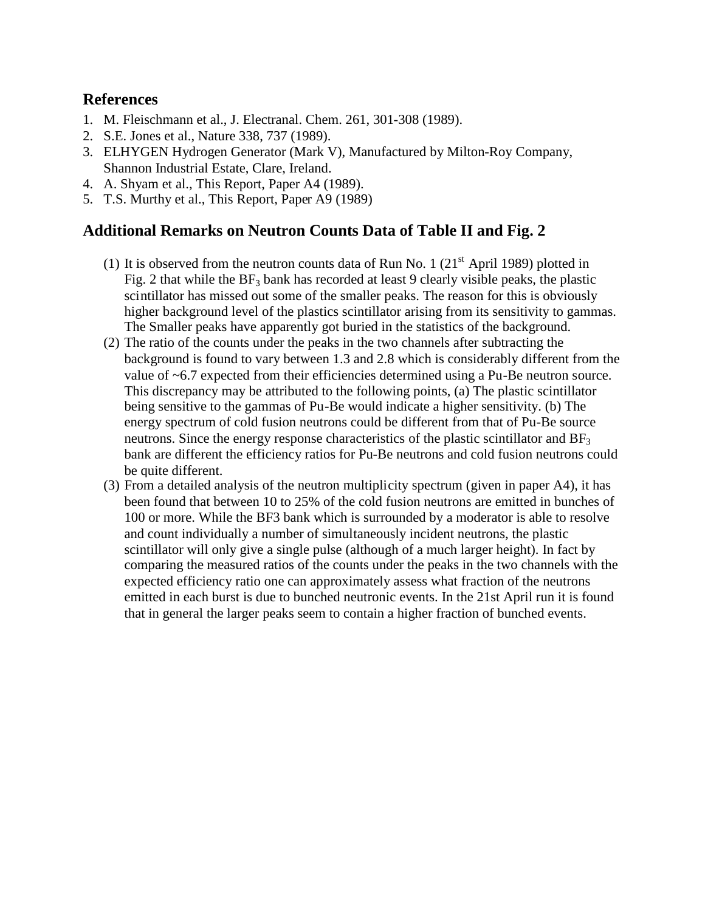## **References**

- 1. M. Fleischmann et al., J. Electranal. Chem. 261, 301-308 (1989).
- 2. S.E. Jones et al., Nature 338, 737 (1989).
- 3. ELHYGEN Hydrogen Generator (Mark V), Manufactured by Milton-Roy Company, Shannon Industrial Estate, Clare, Ireland.
- 4. A. Shyam et al., This Report, Paper A4 (1989).
- 5. T.S. Murthy et al., This Report, Paper A9 (1989)

# **Additional Remarks on Neutron Counts Data of Table II and Fig. 2**

- (1) It is observed from the neutron counts data of Run No. 1 ( $21<sup>st</sup>$  April 1989) plotted in Fig. 2 that while the  $BF_3$  bank has recorded at least 9 clearly visible peaks, the plastic scintillator has missed out some of the smaller peaks. The reason for this is obviously higher background level of the plastics scintillator arising from its sensitivity to gammas. The Smaller peaks have apparently got buried in the statistics of the background.
- (2) The ratio of the counts under the peaks in the two channels after subtracting the background is found to vary between 1.3 and 2.8 which is considerably different from the value of ~6.7 expected from their efficiencies determined using a Pu-Be neutron source. This discrepancy may be attributed to the following points, (a) The plastic scintillator being sensitive to the gammas of Pu-Be would indicate a higher sensitivity. (b) The energy spectrum of cold fusion neutrons could be different from that of Pu-Be source neutrons. Since the energy response characteristics of the plastic scintillator and  $BF<sub>3</sub>$ bank are different the efficiency ratios for Pu-Be neutrons and cold fusion neutrons could be quite different.
- (3) From a detailed analysis of the neutron multiplicity spectrum (given in paper A4), it has been found that between 10 to 25% of the cold fusion neutrons are emitted in bunches of 100 or more. While the BF3 bank which is surrounded by a moderator is able to resolve and count individually a number of simultaneously incident neutrons, the plastic scintillator will only give a single pulse (although of a much larger height). In fact by comparing the measured ratios of the counts under the peaks in the two channels with the expected efficiency ratio one can approximately assess what fraction of the neutrons emitted in each burst is due to bunched neutronic events. In the 21st April run it is found that in general the larger peaks seem to contain a higher fraction of bunched events.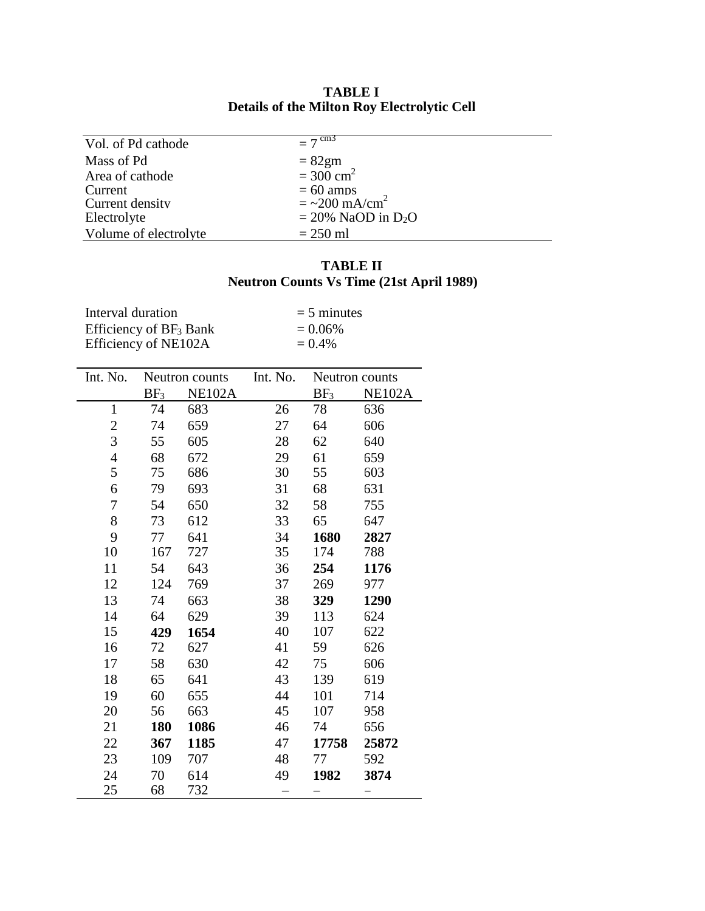**TABLE I Details of the Milton Roy Electrolytic Cell**

| Vol. of Pd cathode    | $=7$ cm <sup>3</sup>              |
|-----------------------|-----------------------------------|
| Mass of Pd            | $= 82$ gm                         |
| Area of cathode       | $= 300$ cm <sup>2</sup>           |
| Current               | $= 60$ amps                       |
| Current density       | $=$ ~200 mA/cm <sup>2</sup>       |
| Electrolyte           | $= 20\%$ NaOD in D <sub>2</sub> O |
| Volume of electrolyte | $= 250$ ml                        |

## **TABLE II Neutron Counts Vs Time (21st April 1989)**

| Interval duration         | $=$ 5 minutes |
|---------------------------|---------------|
| Efficiency of $BF_3$ Bank | $= 0.06\%$    |
| Efficiency of NE102A      | $= 0.4\%$     |

| Int. No.       | Neutron counts  |               | Int. No. | Neutron counts  |               |
|----------------|-----------------|---------------|----------|-----------------|---------------|
|                | BF <sub>3</sub> | <b>NE102A</b> |          | BF <sub>3</sub> | <b>NE102A</b> |
| $\mathbf{1}$   | 74              | 683           | 26       | 78              | 636           |
| $\overline{2}$ | 74              | 659           | 27       | 64              | 606           |
| 3              | 55              | 605           | 28       | 62              | 640           |
| $\overline{4}$ | 68              | 672           | 29       | 61              | 659           |
| 5              | 75              | 686           | 30       | 55              | 603           |
| 6              | 79              | 693           | 31       | 68              | 631           |
| 7              | 54              | 650           | 32       | 58              | 755           |
| 8              | 73              | 612           | 33       | 65              | 647           |
| 9              | 77              | 641           | 34       | 1680            | 2827          |
| 10             | 167             | 727           | 35       | 174             | 788           |
| 11             | 54              | 643           | 36       | 254             | 1176          |
| 12             | 124             | 769           | 37       | 269             | 977           |
| 13             | 74              | 663           | 38       | 329             | 1290          |
| 14             | 64              | 629           | 39       | 113             | 624           |
| 15             | 429             | 1654          | 40       | 107             | 622           |
| 16             | 72              | 627           | 41       | 59              | 626           |
| 17             | 58              | 630           | 42       | 75              | 606           |
| 18             | 65              | 641           | 43       | 139             | 619           |
| 19             | 60              | 655           | 44       | 101             | 714           |
| 20             | 56              | 663           | 45       | 107             | 958           |
| 21             | 180             | 1086          | 46       | 74              | 656           |
| 22             | 367             | 1185          | 47       | 17758           | 25872         |
| 23             | 109             | 707           | 48       | 77              | 592           |
| 24             | 70              | 614           | 49       | 1982            | 3874          |
| 25             | 68              | 732           |          |                 |               |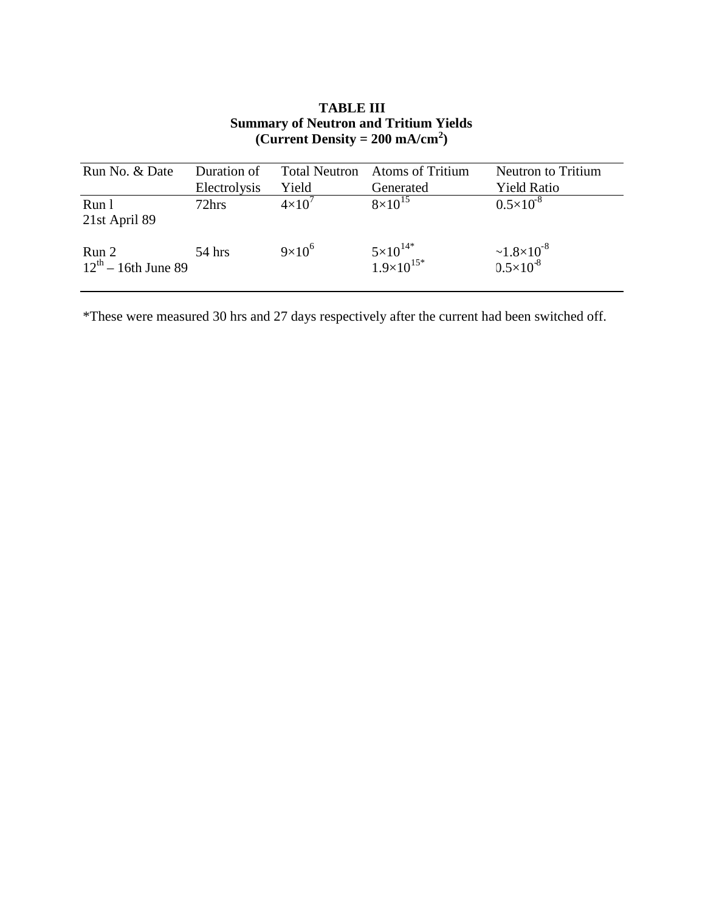| Run No. & Date                    | Duration of  | <b>Total Neutron</b> | <b>Atoms of Tritium</b>                    | Neutron to Tritium                                |
|-----------------------------------|--------------|----------------------|--------------------------------------------|---------------------------------------------------|
|                                   | Electrolysis | Yield                | Generated                                  | <b>Yield Ratio</b>                                |
| Run 1<br>21st April 89            | 72hrs        | $4\times10'$         | $8 \times 10^{15}$                         | $0.5 \times 10^{-8}$                              |
| Run 2<br>$12^{th}$ – 16th June 89 | $54$ hrs     | $9\times10^{6}$      | $5 \times 10^{14*}$<br>$1.9\times10^{15*}$ | $\sim 1.8 \times 10^{-8}$<br>$0.5 \times 10^{-8}$ |

### **TABLE III Summary of Neutron and Tritium Yields** (Current Density =  $200 \text{ mA/cm}^2$ )

\*These were measured 30 hrs and 27 days respectively after the current had been switched off.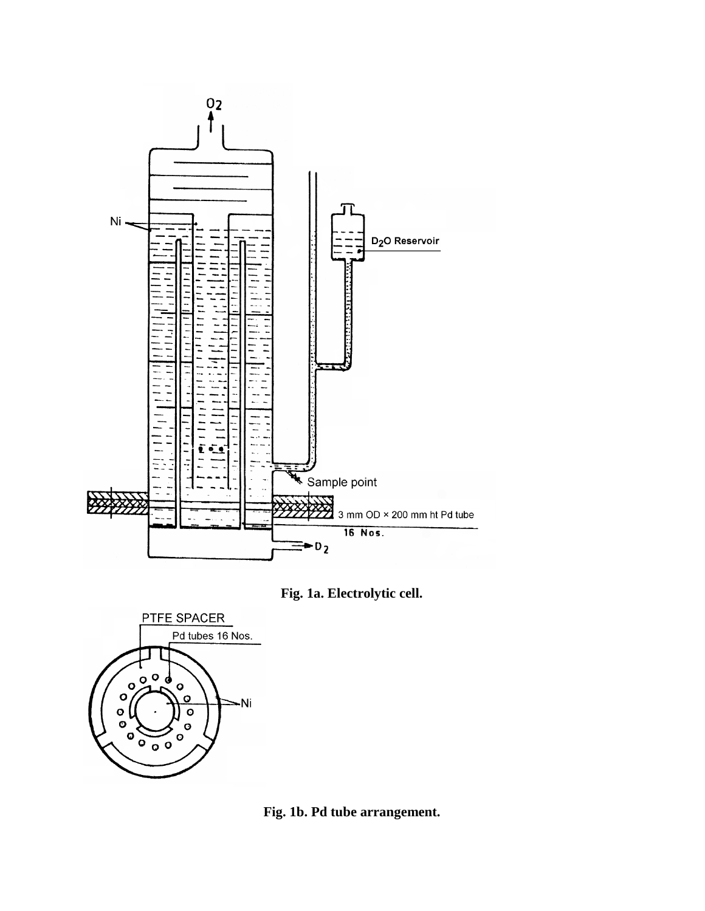





**Fig. 1b. Pd tube arrangement.**